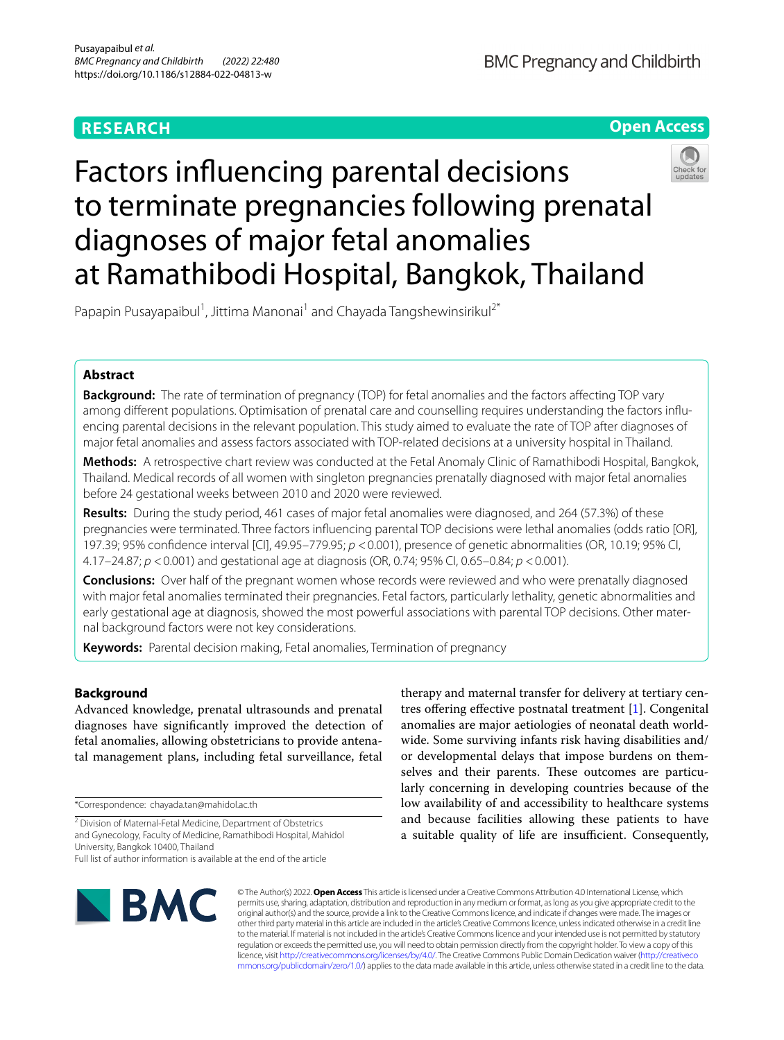## **RESEARCH**

**BMC Pregnancy and Childbirth** 



# Factors infuencing parental decisions to terminate pregnancies following prenatal diagnoses of major fetal anomalies at Ramathibodi Hospital, Bangkok, Thailand



Papapin Pusayapaibul<sup>1</sup>, Jittima Manonai<sup>1</sup> and Chayada Tangshewinsirikul<sup>2\*</sup>

## **Abstract**

**Background:** The rate of termination of pregnancy (TOP) for fetal anomalies and the factors afecting TOP vary among diferent populations. Optimisation of prenatal care and counselling requires understanding the factors infuencing parental decisions in the relevant population. This study aimed to evaluate the rate of TOP after diagnoses of major fetal anomalies and assess factors associated with TOP-related decisions at a university hospital in Thailand.

**Methods:** A retrospective chart review was conducted at the Fetal Anomaly Clinic of Ramathibodi Hospital, Bangkok, Thailand. Medical records of all women with singleton pregnancies prenatally diagnosed with major fetal anomalies before 24 gestational weeks between 2010 and 2020 were reviewed.

**Results:** During the study period, 461 cases of major fetal anomalies were diagnosed, and 264 (57.3%) of these pregnancies were terminated. Three factors infuencing parental TOP decisions were lethal anomalies (odds ratio [OR], 197.39; 95% confdence interval [CI], 49.95–779.95; *p* <0.001), presence of genetic abnormalities (OR, 10.19; 95% CI, 4.17–24.87; *p* <0.001) and gestational age at diagnosis (OR, 0.74; 95% CI, 0.65–0.84; *p* <0.001).

**Conclusions:** Over half of the pregnant women whose records were reviewed and who were prenatally diagnosed with major fetal anomalies terminated their pregnancies. Fetal factors, particularly lethality, genetic abnormalities and early gestational age at diagnosis, showed the most powerful associations with parental TOP decisions. Other maternal background factors were not key considerations.

**Keywords:** Parental decision making, Fetal anomalies, Termination of pregnancy

## **Background**

Advanced knowledge, prenatal ultrasounds and prenatal diagnoses have signifcantly improved the detection of fetal anomalies, allowing obstetricians to provide antenatal management plans, including fetal surveillance, fetal

\*Correspondence: chayada.tan@mahidol.ac.th

<sup>2</sup> Division of Maternal-Fetal Medicine, Department of Obstetrics and Gynecology, Faculty of Medicine, Ramathibodi Hospital, Mahidol University, Bangkok 10400, Thailand Full list of author information is available at the end of the article

therapy and maternal transfer for delivery at tertiary cen-tres offering effective postnatal treatment [[1\]](#page-7-0). Congenital anomalies are major aetiologies of neonatal death worldwide. Some surviving infants risk having disabilities and/ or developmental delays that impose burdens on themselves and their parents. These outcomes are particularly concerning in developing countries because of the low availability of and accessibility to healthcare systems and because facilities allowing these patients to have a suitable quality of life are insufficient. Consequently,



© The Author(s) 2022. **Open Access** This article is licensed under a Creative Commons Attribution 4.0 International License, which permits use, sharing, adaptation, distribution and reproduction in any medium or format, as long as you give appropriate credit to the original author(s) and the source, provide a link to the Creative Commons licence, and indicate if changes were made. The images or other third party material in this article are included in the article's Creative Commons licence, unless indicated otherwise in a credit line to the material. If material is not included in the article's Creative Commons licence and your intended use is not permitted by statutory regulation or exceeds the permitted use, you will need to obtain permission directly from the copyright holder. To view a copy of this licence, visit [http://creativecommons.org/licenses/by/4.0/.](http://creativecommons.org/licenses/by/4.0/) The Creative Commons Public Domain Dedication waiver ([http://creativeco](http://creativecommons.org/publicdomain/zero/1.0/) [mmons.org/publicdomain/zero/1.0/](http://creativecommons.org/publicdomain/zero/1.0/)) applies to the data made available in this article, unless otherwise stated in a credit line to the data.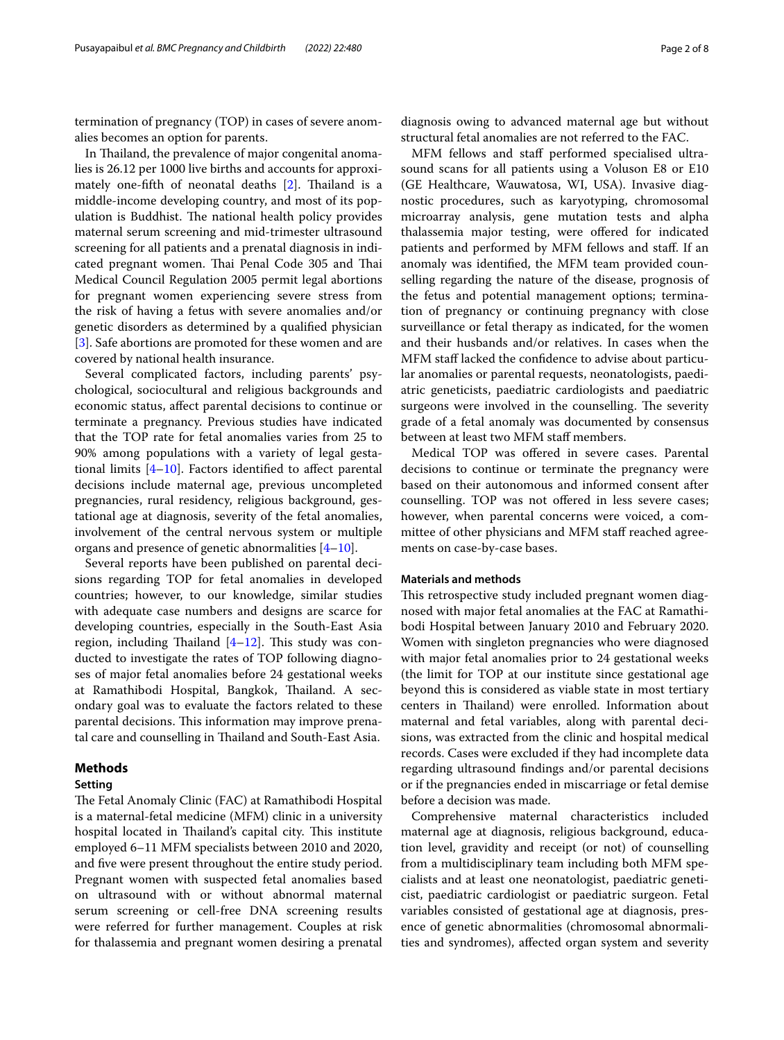termination of pregnancy (TOP) in cases of severe anomalies becomes an option for parents.

In Thailand, the prevalence of major congenital anomalies is 26.12 per 1000 live births and accounts for approxi-mately one-fifth of neonatal deaths [\[2](#page-7-1)]. Thailand is a middle-income developing country, and most of its population is Buddhist. The national health policy provides maternal serum screening and mid-trimester ultrasound screening for all patients and a prenatal diagnosis in indicated pregnant women. Thai Penal Code 305 and Thai Medical Council Regulation 2005 permit legal abortions for pregnant women experiencing severe stress from the risk of having a fetus with severe anomalies and/or genetic disorders as determined by a qualifed physician [[3\]](#page-7-2). Safe abortions are promoted for these women and are covered by national health insurance.

Several complicated factors, including parents' psychological, sociocultural and religious backgrounds and economic status, afect parental decisions to continue or terminate a pregnancy. Previous studies have indicated that the TOP rate for fetal anomalies varies from 25 to 90% among populations with a variety of legal gestational limits  $[4–10]$  $[4–10]$  $[4–10]$  $[4–10]$ . Factors identified to affect parental decisions include maternal age, previous uncompleted pregnancies, rural residency, religious background, gestational age at diagnosis, severity of the fetal anomalies, involvement of the central nervous system or multiple organs and presence of genetic abnormalities [[4–](#page-7-3)[10\]](#page-7-4).

Several reports have been published on parental decisions regarding TOP for fetal anomalies in developed countries; however, to our knowledge, similar studies with adequate case numbers and designs are scarce for developing countries, especially in the South-East Asia region, including Thailand  $[4–12]$  $[4–12]$  $[4–12]$  $[4–12]$ . This study was conducted to investigate the rates of TOP following diagnoses of major fetal anomalies before 24 gestational weeks at Ramathibodi Hospital, Bangkok, Thailand. A secondary goal was to evaluate the factors related to these parental decisions. This information may improve prenatal care and counselling in Thailand and South-East Asia.

#### **Methods**

#### **Setting**

The Fetal Anomaly Clinic (FAC) at Ramathibodi Hospital is a maternal-fetal medicine (MFM) clinic in a university hospital located in Thailand's capital city. This institute employed 6–11 MFM specialists between 2010 and 2020, and fve were present throughout the entire study period. Pregnant women with suspected fetal anomalies based on ultrasound with or without abnormal maternal serum screening or cell-free DNA screening results were referred for further management. Couples at risk for thalassemia and pregnant women desiring a prenatal

diagnosis owing to advanced maternal age but without structural fetal anomalies are not referred to the FAC.

MFM fellows and staf performed specialised ultrasound scans for all patients using a Voluson E8 or E10 (GE Healthcare, Wauwatosa, WI, USA). Invasive diagnostic procedures, such as karyotyping, chromosomal microarray analysis, gene mutation tests and alpha thalassemia major testing, were ofered for indicated patients and performed by MFM fellows and staf. If an anomaly was identifed, the MFM team provided counselling regarding the nature of the disease, prognosis of the fetus and potential management options; termination of pregnancy or continuing pregnancy with close surveillance or fetal therapy as indicated, for the women and their husbands and/or relatives. In cases when the MFM staff lacked the confidence to advise about particular anomalies or parental requests, neonatologists, paediatric geneticists, paediatric cardiologists and paediatric surgeons were involved in the counselling. The severity grade of a fetal anomaly was documented by consensus between at least two MFM staff members.

Medical TOP was offered in severe cases. Parental decisions to continue or terminate the pregnancy were based on their autonomous and informed consent after counselling. TOP was not ofered in less severe cases; however, when parental concerns were voiced, a committee of other physicians and MFM staff reached agreements on case-by-case bases.

## **Materials and methods**

This retrospective study included pregnant women diagnosed with major fetal anomalies at the FAC at Ramathibodi Hospital between January 2010 and February 2020. Women with singleton pregnancies who were diagnosed with major fetal anomalies prior to 24 gestational weeks (the limit for TOP at our institute since gestational age beyond this is considered as viable state in most tertiary centers in Tailand) were enrolled. Information about maternal and fetal variables, along with parental decisions, was extracted from the clinic and hospital medical records. Cases were excluded if they had incomplete data regarding ultrasound fndings and/or parental decisions or if the pregnancies ended in miscarriage or fetal demise before a decision was made.

Comprehensive maternal characteristics included maternal age at diagnosis, religious background, education level, gravidity and receipt (or not) of counselling from a multidisciplinary team including both MFM specialists and at least one neonatologist, paediatric geneticist, paediatric cardiologist or paediatric surgeon. Fetal variables consisted of gestational age at diagnosis, presence of genetic abnormalities (chromosomal abnormalities and syndromes), afected organ system and severity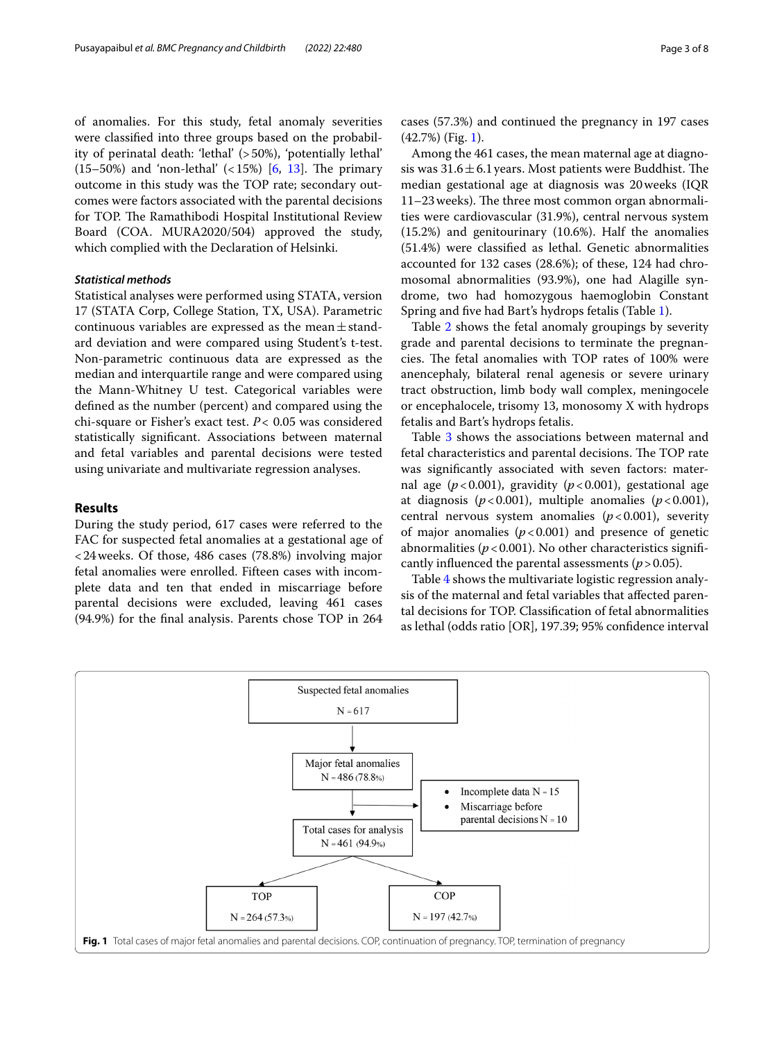of anomalies. For this study, fetal anomaly severities were classifed into three groups based on the probability of perinatal death: 'lethal' (>50%), 'potentially lethal' (15–50%) and 'non-lethal'  $($ <15%) [[6,](#page-7-6) [13](#page-7-7)]. The primary outcome in this study was the TOP rate; secondary outcomes were factors associated with the parental decisions for TOP. The Ramathibodi Hospital Institutional Review Board (COA. MURA2020/504) approved the study, which complied with the Declaration of Helsinki.

## *Statistical methods*

Statistical analyses were performed using STATA, version 17 (STATA Corp, College Station, TX, USA). Parametric continuous variables are expressed as the mean $\pm$ standard deviation and were compared using Student's t-test. Non-parametric continuous data are expressed as the median and interquartile range and were compared using the Mann-Whitney U test. Categorical variables were defned as the number (percent) and compared using the chi-square or Fisher's exact test. *P<* 0.05 was considered statistically signifcant. Associations between maternal and fetal variables and parental decisions were tested using univariate and multivariate regression analyses.

## **Results**

During the study period, 617 cases were referred to the FAC for suspected fetal anomalies at a gestational age of <24weeks. Of those, 486 cases (78.8%) involving major fetal anomalies were enrolled. Fifteen cases with incomplete data and ten that ended in miscarriage before parental decisions were excluded, leaving 461 cases (94.9%) for the fnal analysis. Parents chose TOP in 264 cases (57.3%) and continued the pregnancy in 197 cases (42.7%) (Fig. [1](#page-2-0)).

Among the 461 cases, the mean maternal age at diagnosis was  $31.6 \pm 6.1$  years. Most patients were Buddhist. The median gestational age at diagnosis was 20weeks (IQR 11–23 weeks). The three most common organ abnormalities were cardiovascular (31.9%), central nervous system (15.2%) and genitourinary (10.6%). Half the anomalies (51.4%) were classifed as lethal. Genetic abnormalities accounted for 132 cases (28.6%); of these, 124 had chromosomal abnormalities (93.9%), one had Alagille syndrome, two had homozygous haemoglobin Constant Spring and fve had Bart's hydrops fetalis (Table [1](#page-3-0)).

Table [2](#page-4-0) shows the fetal anomaly groupings by severity grade and parental decisions to terminate the pregnancies. The fetal anomalies with TOP rates of 100% were anencephaly, bilateral renal agenesis or severe urinary tract obstruction, limb body wall complex, meningocele or encephalocele, trisomy 13, monosomy X with hydrops fetalis and Bart's hydrops fetalis.

Table [3](#page-5-0) shows the associations between maternal and fetal characteristics and parental decisions. The TOP rate was signifcantly associated with seven factors: maternal age  $(p<0.001)$ , gravidity  $(p<0.001)$ , gestational age at diagnosis ( $p < 0.001$ ), multiple anomalies ( $p < 0.001$ ), central nervous system anomalies  $(p<0.001)$ , severity of major anomalies  $(p < 0.001)$  and presence of genetic abnormalities ( $p < 0.001$ ). No other characteristics significantly influenced the parental assessments  $(p > 0.05)$ .

Table [4](#page-6-0) shows the multivariate logistic regression analysis of the maternal and fetal variables that afected parental decisions for TOP. Classifcation of fetal abnormalities as lethal (odds ratio [OR], 197.39; 95% confdence interval

<span id="page-2-0"></span>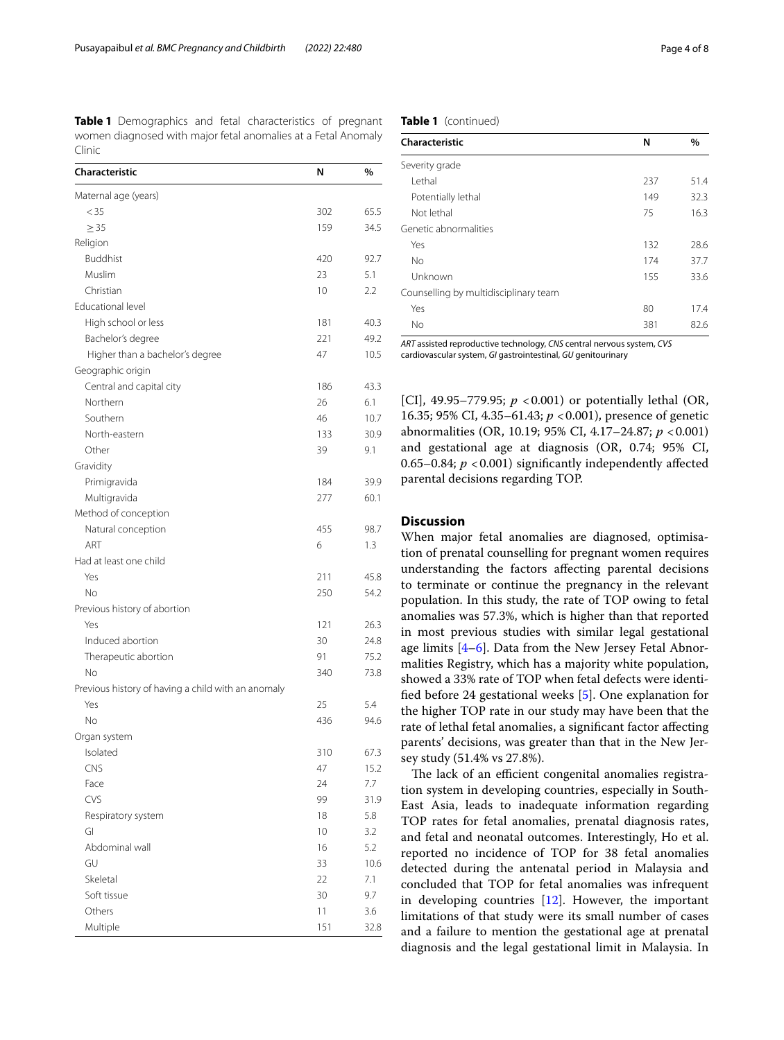<span id="page-3-0"></span>**Table 1** Demographics and fetal characteristics of pregnant women diagnosed with major fetal anomalies at a Fetal Anomaly Clinic

| Characteristic                                     | N   | $\%$ |
|----------------------------------------------------|-----|------|
| Maternal age (years)                               |     |      |
| $<$ 35                                             | 302 | 65.5 |
| $\geq$ 35                                          | 159 | 34.5 |
| Religion                                           |     |      |
| <b>Buddhist</b>                                    | 420 | 92.7 |
| Muslim                                             | 23  | 5.1  |
| Christian                                          | 10  | 2.2  |
| Educational level                                  |     |      |
| High school or less                                | 181 | 40.3 |
| Bachelor's degree                                  | 221 | 49.2 |
| Higher than a bachelor's degree                    | 47  | 10.5 |
| Geographic origin                                  |     |      |
| Central and capital city                           | 186 | 43.3 |
| Northern                                           | 26  | 6.1  |
| Southern                                           | 46  | 10.7 |
| North-eastern                                      | 133 | 30.9 |
| Other                                              | 39  | 9.1  |
| Gravidity                                          |     |      |
| Primigravida                                       | 184 | 39.9 |
| Multigravida                                       | 277 | 60.1 |
| Method of conception                               |     |      |
| Natural conception                                 | 455 | 98.7 |
| ART                                                | 6   | 1.3  |
| Had at least one child                             |     |      |
| Yes                                                | 211 | 45.8 |
| No                                                 | 250 | 54.2 |
| Previous history of abortion                       |     |      |
| Yes                                                | 121 | 26.3 |
| Induced abortion                                   | 30  | 24.8 |
| Therapeutic abortion                               | 91  | 75.2 |
| No                                                 | 340 | 73.8 |
| Previous history of having a child with an anomaly |     |      |
| Yes                                                | 25  | 5.4  |
| No                                                 | 436 | 94.6 |
| Organ system                                       |     |      |
| Isolated                                           | 310 | 67.3 |
| CNS                                                | 47  | 15.2 |
| Face                                               | 24  | 7.7  |
| CVS                                                | 99  | 31.9 |
| Respiratory system                                 | 18  | 5.8  |
| GI                                                 | 10  | 3.2  |
| Abdominal wall                                     | 16  | 5.2  |
| GU                                                 | 33  | 10.6 |
| Skeletal                                           | 22  | 7.1  |
| Soft tissue                                        | 30  | 9.7  |
| Others                                             | 11  | 3.6  |
| Multiple                                           | 151 | 32.8 |

**Table 1** (continued)

| Characteristic                        | N   | %    |
|---------------------------------------|-----|------|
| Severity grade                        |     |      |
| I ethal                               | 237 | 51.4 |
| Potentially lethal                    | 149 | 32.3 |
| Not lethal                            | 75  | 16.3 |
| Genetic abnormalities                 |     |      |
| Yes                                   | 132 | 28.6 |
| <b>No</b>                             | 174 | 37.7 |
| Unknown                               | 155 | 33.6 |
| Counselling by multidisciplinary team |     |      |
| Yes                                   | 80  | 17.4 |
| No                                    | 381 | 82.6 |
|                                       |     |      |

*ART* assisted reproductive technology, *CNS* central nervous system, *CVS* cardiovascular system, *GI* gastrointestinal, *GU* genitourinary

[CI], 49.95–779.95;  $p < 0.001$ ) or potentially lethal (OR, 16.35; 95% CI, 4.35–61.43; *p* <0.001), presence of genetic abnormalities (OR, 10.19; 95% CI, 4.17–24.87; *p* <0.001) and gestational age at diagnosis (OR, 0.74; 95% CI, 0.65–0.84;  $p < 0.001$ ) significantly independently affected parental decisions regarding TOP.

#### **Discussion**

When major fetal anomalies are diagnosed, optimisation of prenatal counselling for pregnant women requires understanding the factors afecting parental decisions to terminate or continue the pregnancy in the relevant population. In this study, the rate of TOP owing to fetal anomalies was 57.3%, which is higher than that reported in most previous studies with similar legal gestational age limits  $[4-6]$  $[4-6]$ . Data from the New Jersey Fetal Abnormalities Registry, which has a majority white population, showed a 33% rate of TOP when fetal defects were identifed before 24 gestational weeks [\[5](#page-7-8)]. One explanation for the higher TOP rate in our study may have been that the rate of lethal fetal anomalies, a signifcant factor afecting parents' decisions, was greater than that in the New Jersey study (51.4% vs 27.8%).

The lack of an efficient congenital anomalies registration system in developing countries, especially in South-East Asia, leads to inadequate information regarding TOP rates for fetal anomalies, prenatal diagnosis rates, and fetal and neonatal outcomes. Interestingly, Ho et al. reported no incidence of TOP for 38 fetal anomalies detected during the antenatal period in Malaysia and concluded that TOP for fetal anomalies was infrequent in developing countries [[12](#page-7-5)]. However, the important limitations of that study were its small number of cases and a failure to mention the gestational age at prenatal diagnosis and the legal gestational limit in Malaysia. In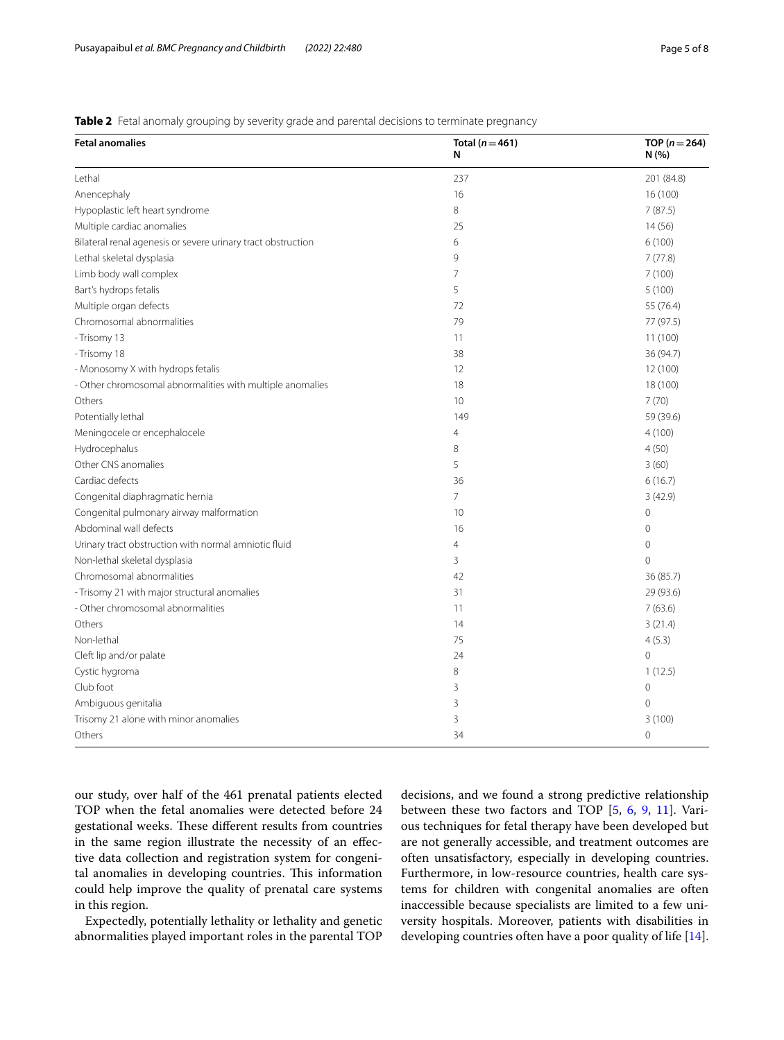<span id="page-4-0"></span>**Table 2** Fetal anomaly grouping by severity grade and parental decisions to terminate pregnancy

| <b>Fetal anomalies</b>                                       | Total ( $n = 461$ )<br>N | TOP ( $n = 264$ )<br>N(% ) |  |
|--------------------------------------------------------------|--------------------------|----------------------------|--|
| Lethal                                                       | 237                      | 201 (84.8)                 |  |
| Anencephaly                                                  | 16                       | 16 (100)                   |  |
| Hypoplastic left heart syndrome                              | 8                        | 7(87.5)                    |  |
| Multiple cardiac anomalies                                   | 25                       | 14(56)                     |  |
| Bilateral renal agenesis or severe urinary tract obstruction | 6                        | 6(100)                     |  |
| Lethal skeletal dysplasia                                    | 9                        | 7(77.8)                    |  |
| Limb body wall complex                                       | 7                        | 7(100)                     |  |
| Bart's hydrops fetalis                                       | 5                        | 5(100)                     |  |
| Multiple organ defects                                       | 72                       | 55 (76.4)                  |  |
| Chromosomal abnormalities                                    | 79                       | 77 (97.5)                  |  |
| - Trisomy 13                                                 | 11                       | 11(100)                    |  |
| - Trisomy 18                                                 | 38                       | 36 (94.7)                  |  |
| - Monosomy X with hydrops fetalis                            | 12                       | 12 (100)                   |  |
| - Other chromosomal abnormalities with multiple anomalies    | 18                       | 18 (100)                   |  |
| Others                                                       | 10                       | 7(70)                      |  |
| Potentially lethal                                           | 149                      | 59 (39.6)                  |  |
| Meningocele or encephalocele                                 | 4                        | 4(100)                     |  |
| Hydrocephalus                                                | 8                        | 4(50)                      |  |
| Other CNS anomalies                                          | 5                        | 3(60)                      |  |
| Cardiac defects                                              | 36                       | 6(16.7)                    |  |
| Congenital diaphragmatic hernia                              | $\overline{7}$           | 3(42.9)                    |  |
| Congenital pulmonary airway malformation                     | 10                       | $\mathbf 0$                |  |
| Abdominal wall defects                                       | 16                       | $\mathbf 0$                |  |
| Urinary tract obstruction with normal amniotic fluid         | 4                        | 0                          |  |
| Non-lethal skeletal dysplasia                                | 3                        | 0                          |  |
| Chromosomal abnormalities                                    | 42                       | 36 (85.7)                  |  |
| - Trisomy 21 with major structural anomalies                 | 31                       | 29 (93.6)                  |  |
| - Other chromosomal abnormalities                            | 11                       | 7(63.6)                    |  |
| Others                                                       | 14                       | 3(21.4)                    |  |
| Non-lethal                                                   | 75                       | 4(5.3)                     |  |
| Cleft lip and/or palate                                      | 24                       | $\overline{O}$             |  |
| Cystic hygroma                                               | 8                        | 1(12.5)                    |  |
| Club foot                                                    | 3                        | $\mathbf 0$                |  |
| Ambiguous genitalia                                          | 3                        | 0                          |  |
| Trisomy 21 alone with minor anomalies                        | 3                        | 3(100)                     |  |
| Others                                                       | 34                       | 0                          |  |

our study, over half of the 461 prenatal patients elected TOP when the fetal anomalies were detected before 24 gestational weeks. These different results from countries in the same region illustrate the necessity of an efective data collection and registration system for congenital anomalies in developing countries. This information could help improve the quality of prenatal care systems in this region.

Expectedly, potentially lethality or lethality and genetic abnormalities played important roles in the parental TOP decisions, and we found a strong predictive relationship between these two factors and TOP [\[5](#page-7-8), [6](#page-7-6), [9,](#page-7-9) [11\]](#page-7-10). Various techniques for fetal therapy have been developed but are not generally accessible, and treatment outcomes are often unsatisfactory, especially in developing countries. Furthermore, in low-resource countries, health care systems for children with congenital anomalies are often inaccessible because specialists are limited to a few university hospitals. Moreover, patients with disabilities in developing countries often have a poor quality of life [\[14](#page-7-11)].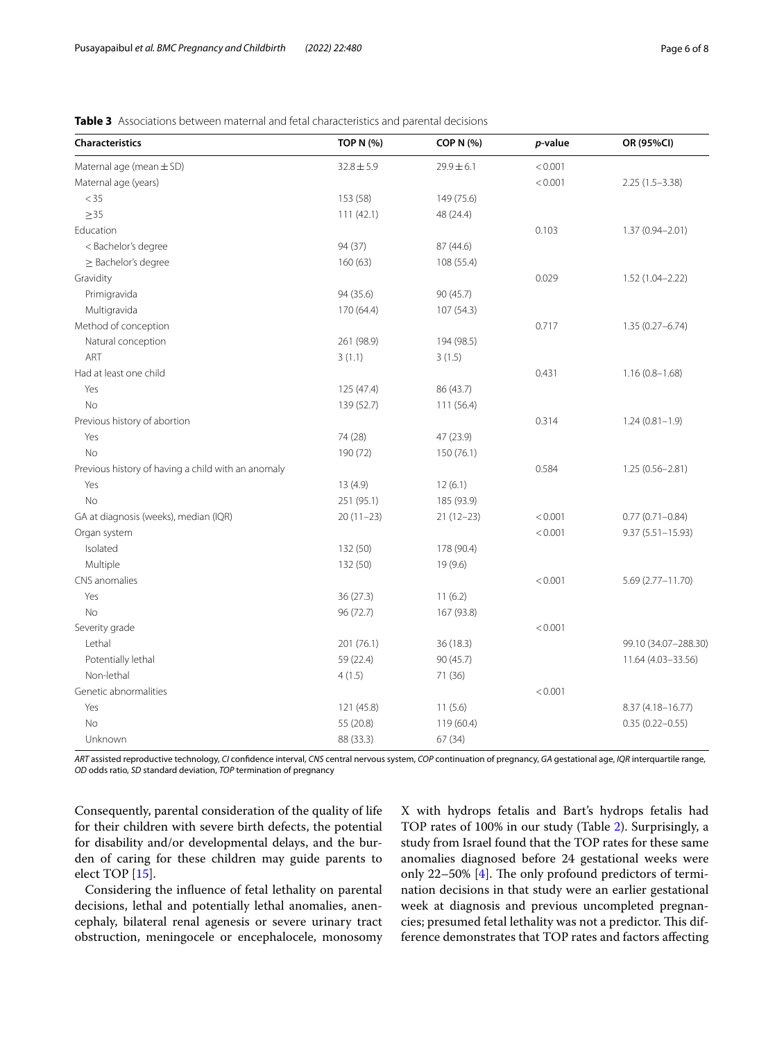| <b>Characteristics</b>                             | <b>TOP N (%)</b> | <b>COP N (%)</b> | p-value | OR (95%CI)           |
|----------------------------------------------------|------------------|------------------|---------|----------------------|
| Maternal age (mean ± SD)                           | $32.8 \pm 5.9$   | $29.9 \pm 6.1$   | < 0.001 |                      |
| Maternal age (years)                               |                  |                  | < 0.001 | $2.25(1.5-3.38)$     |
| $<$ 35                                             | 153 (58)         | 149 (75.6)       |         |                      |
| $\geq$ 35                                          | 111(42.1)        | 48 (24.4)        |         |                      |
| Education                                          |                  |                  | 0.103   | $1.37(0.94 - 2.01)$  |
| < Bachelor's degree                                | 94 (37)          | 87 (44.6)        |         |                      |
| $\geq$ Bachelor's degree                           | 160(63)          | 108 (55.4)       |         |                      |
| Gravidity                                          |                  |                  | 0.029   | 1.52 (1.04-2.22)     |
| Primigravida                                       | 94 (35.6)        | 90 (45.7)        |         |                      |
| Multigravida                                       | 170 (64.4)       | 107 (54.3)       |         |                      |
| Method of conception                               |                  |                  | 0.717   | $1.35(0.27 - 6.74)$  |
| Natural conception                                 | 261 (98.9)       | 194 (98.5)       |         |                      |
| ART                                                | 3(1.1)           | 3(1.5)           |         |                      |
| Had at least one child                             |                  |                  | 0.431   | $1.16(0.8-1.68)$     |
| Yes                                                | 125 (47.4)       | 86 (43.7)        |         |                      |
| No                                                 | 139 (52.7)       | 111 (56.4)       |         |                      |
| Previous history of abortion                       |                  |                  | 0.314   | $1.24(0.81 - 1.9)$   |
| Yes                                                | 74 (28)          | 47 (23.9)        |         |                      |
| <b>No</b>                                          | 190 (72)         | 150 (76.1)       |         |                      |
| Previous history of having a child with an anomaly |                  |                  | 0.584   | $1.25(0.56 - 2.81)$  |
| Yes                                                | 13 (4.9)         | 12(6.1)          |         |                      |
| <b>No</b>                                          | 251 (95.1)       | 185 (93.9)       |         |                      |
| GA at diagnosis (weeks), median (IQR)              | $20(11-23)$      | $21(12-23)$      | < 0.001 | $0.77(0.71 - 0.84)$  |
| Organ system                                       |                  |                  | < 0.001 | $9.37(5.51 - 15.93)$ |
| Isolated                                           | 132 (50)         | 178 (90.4)       |         |                      |
| Multiple                                           | 132 (50)         | 19(9.6)          |         |                      |
| CNS anomalies                                      |                  |                  | < 0.001 | 5.69 (2.77-11.70)    |
| Yes                                                | 36 (27.3)        | 11(6.2)          |         |                      |
| No                                                 | 96 (72.7)        | 167 (93.8)       |         |                      |
| Severity grade                                     |                  |                  | < 0.001 |                      |
| Lethal                                             | 201 (76.1)       | 36 (18.3)        |         | 99.10 (34.07-288.30) |
| Potentially lethal                                 | 59 (22.4)        | 90 (45.7)        |         | 11.64 (4.03-33.56)   |
| Non-lethal                                         | 4(1.5)           | 71 (36)          |         |                      |
| Genetic abnormalities                              |                  |                  | < 0.001 |                      |
| Yes                                                | 121 (45.8)       | 11(5.6)          |         | 8.37 (4.18-16.77)    |
| No                                                 | 55 (20.8)        | 119 (60.4)       |         | $0.35(0.22 - 0.55)$  |
| Unknown                                            | 88 (33.3)        | 67 (34)          |         |                      |

<span id="page-5-0"></span>

|  | <b>Table 3</b> Associations between maternal and fetal characteristics and parental decisions |  |  |  |  |  |  |  |
|--|-----------------------------------------------------------------------------------------------|--|--|--|--|--|--|--|
|--|-----------------------------------------------------------------------------------------------|--|--|--|--|--|--|--|

*ART* assisted reproductive technology, *CI* confdence interval, *CNS* central nervous system, *COP* continuation of pregnancy, *GA* gestational age, *IQR* interquartile range, *OD* odds ratio, *SD* standard deviation, *TOP* termination of pregnancy

Consequently, parental consideration of the quality of life for their children with severe birth defects, the potential for disability and/or developmental delays, and the burden of caring for these children may guide parents to elect TOP [\[15](#page-7-12)].

Considering the infuence of fetal lethality on parental decisions, lethal and potentially lethal anomalies, anencephaly, bilateral renal agenesis or severe urinary tract obstruction, meningocele or encephalocele, monosomy X with hydrops fetalis and Bart's hydrops fetalis had TOP rates of 100% in our study (Table [2\)](#page-4-0). Surprisingly, a study from Israel found that the TOP rates for these same anomalies diagnosed before 24 gestational weeks were only 22-50% [[4\]](#page-7-3). The only profound predictors of termination decisions in that study were an earlier gestational week at diagnosis and previous uncompleted pregnancies; presumed fetal lethality was not a predictor. This difference demonstrates that TOP rates and factors afecting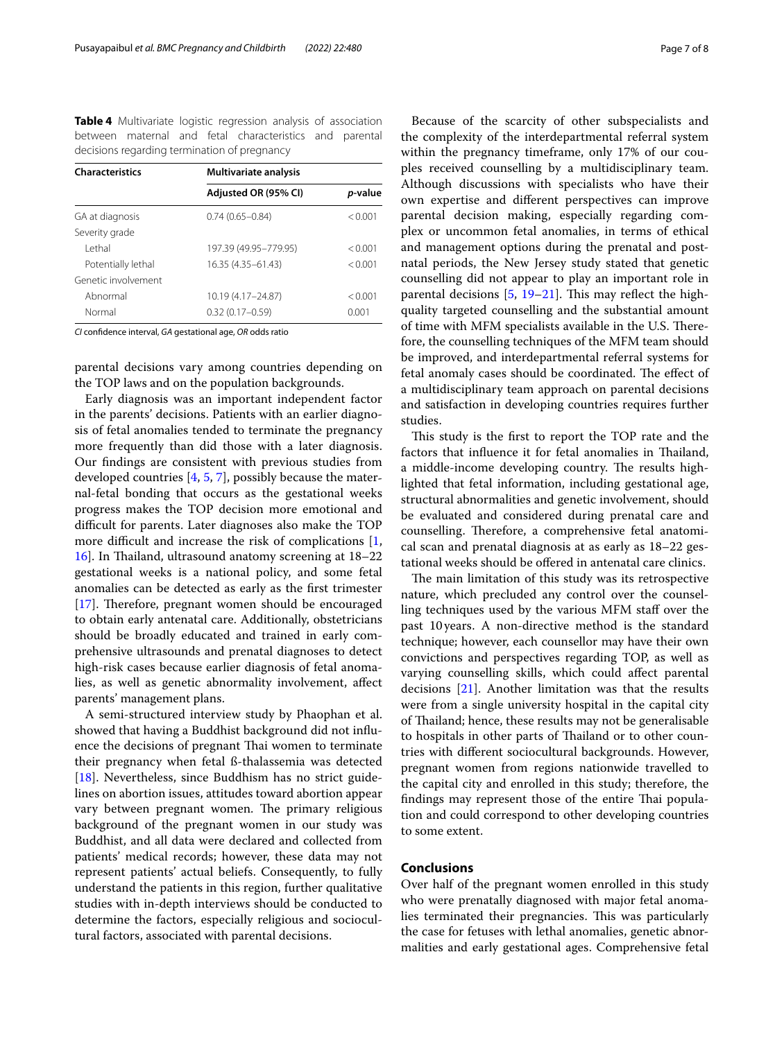<span id="page-6-0"></span>**Table 4** Multivariate logistic regression analysis of association between maternal and fetal characteristics and parental decisions regarding termination of pregnancy

| <b>Characteristics</b> | Multivariate analysis |         |  |  |
|------------------------|-----------------------|---------|--|--|
|                        | Adjusted OR (95% CI)  | p-value |  |  |
| GA at diagnosis        | $0.74(0.65 - 0.84)$   | < 0.001 |  |  |
| Severity grade         |                       |         |  |  |
| I ethal                | 197.39 (49.95-779.95) | < 0.001 |  |  |
| Potentially lethal     | 16.35 (4.35 - 61.43)  | < 0.001 |  |  |
| Genetic involvement    |                       |         |  |  |
| Abnormal               | 10.19 (4.17-24.87)    | < 0.001 |  |  |
| Normal                 | $0.32(0.17 - 0.59)$   | 0.001   |  |  |

*CI* confdence interval, *GA* gestational age, *OR* odds ratio

parental decisions vary among countries depending on the TOP laws and on the population backgrounds.

Early diagnosis was an important independent factor in the parents' decisions. Patients with an earlier diagnosis of fetal anomalies tended to terminate the pregnancy more frequently than did those with a later diagnosis. Our fndings are consistent with previous studies from developed countries [[4,](#page-7-3) [5,](#page-7-8) [7](#page-7-13)], possibly because the maternal-fetal bonding that occurs as the gestational weeks progress makes the TOP decision more emotional and difficult for parents. Later diagnoses also make the TOP more difficult and increase the risk of complications  $[1, 1]$  $[1, 1]$ [16\]](#page-7-14). In Thailand, ultrasound anatomy screening at 18–22 gestational weeks is a national policy, and some fetal anomalies can be detected as early as the frst trimester  $[17]$  $[17]$ . Therefore, pregnant women should be encouraged to obtain early antenatal care. Additionally, obstetricians should be broadly educated and trained in early comprehensive ultrasounds and prenatal diagnoses to detect high-risk cases because earlier diagnosis of fetal anomalies, as well as genetic abnormality involvement, afect parents' management plans.

A semi-structured interview study by Phaophan et al. showed that having a Buddhist background did not infuence the decisions of pregnant Thai women to terminate their pregnancy when fetal ß-thalassemia was detected [[18\]](#page-7-16). Nevertheless, since Buddhism has no strict guidelines on abortion issues, attitudes toward abortion appear vary between pregnant women. The primary religious background of the pregnant women in our study was Buddhist, and all data were declared and collected from patients' medical records; however, these data may not represent patients' actual beliefs. Consequently, to fully understand the patients in this region, further qualitative studies with in-depth interviews should be conducted to determine the factors, especially religious and sociocultural factors, associated with parental decisions.

Because of the scarcity of other subspecialists and the complexity of the interdepartmental referral system within the pregnancy timeframe, only 17% of our couples received counselling by a multidisciplinary team. Although discussions with specialists who have their own expertise and diferent perspectives can improve parental decision making, especially regarding complex or uncommon fetal anomalies, in terms of ethical and management options during the prenatal and postnatal periods, the New Jersey study stated that genetic counselling did not appear to play an important role in parental decisions  $[5, 19-21]$  $[5, 19-21]$  $[5, 19-21]$  $[5, 19-21]$  $[5, 19-21]$ . This may reflect the highquality targeted counselling and the substantial amount of time with MFM specialists available in the U.S. Therefore, the counselling techniques of the MFM team should be improved, and interdepartmental referral systems for fetal anomaly cases should be coordinated. The effect of a multidisciplinary team approach on parental decisions and satisfaction in developing countries requires further studies.

This study is the first to report the TOP rate and the factors that influence it for fetal anomalies in Thailand, a middle-income developing country. The results highlighted that fetal information, including gestational age, structural abnormalities and genetic involvement, should be evaluated and considered during prenatal care and counselling. Therefore, a comprehensive fetal anatomical scan and prenatal diagnosis at as early as 18–22 gestational weeks should be ofered in antenatal care clinics.

The main limitation of this study was its retrospective nature, which precluded any control over the counselling techniques used by the various MFM staff over the past 10years. A non-directive method is the standard technique; however, each counsellor may have their own convictions and perspectives regarding TOP, as well as varying counselling skills, which could afect parental decisions [\[21](#page-7-18)]. Another limitation was that the results were from a single university hospital in the capital city of Thailand; hence, these results may not be generalisable to hospitals in other parts of Thailand or to other countries with diferent sociocultural backgrounds. However, pregnant women from regions nationwide travelled to the capital city and enrolled in this study; therefore, the findings may represent those of the entire Thai population and could correspond to other developing countries to some extent.

## **Conclusions**

Over half of the pregnant women enrolled in this study who were prenatally diagnosed with major fetal anomalies terminated their pregnancies. This was particularly the case for fetuses with lethal anomalies, genetic abnormalities and early gestational ages. Comprehensive fetal